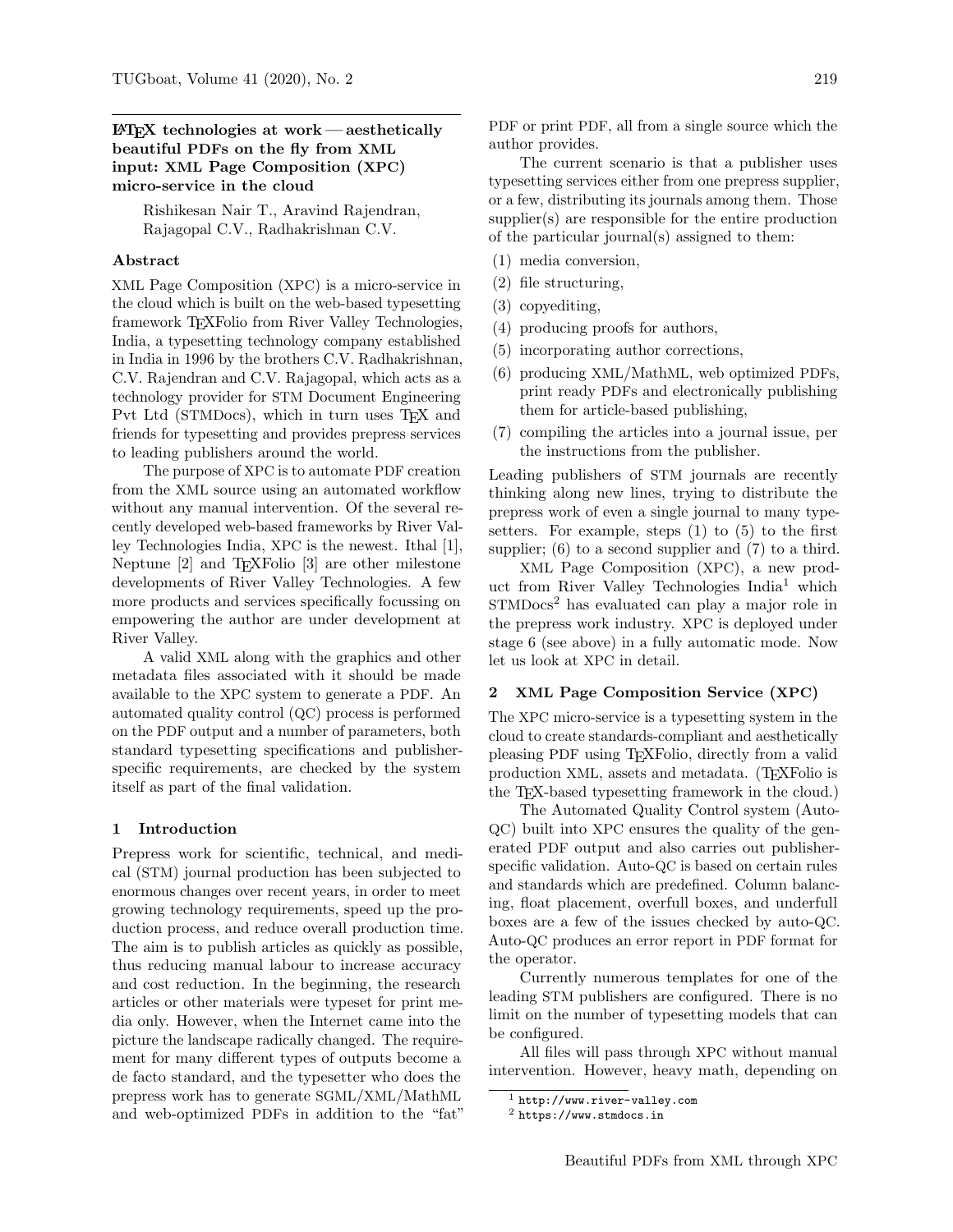## $\Delta E$ FFX technologies at work — aesthetically beautiful PDFs on the fly from XML input: XML Page Composition (XPC) micro-service in the cloud

Rishikesan Nair T., Aravind Rajendran, Rajagopal C.V., Radhakrishnan C.V.

#### Abstract

XML Page Composition (XPC) is a micro-service in the cloud which is built on the web-based typesetting framework TEXFolio from River Valley Technologies, India, a typesetting technology company established in India in 1996 by the brothers C.V. Radhakrishnan, C.V. Rajendran and C.V. Rajagopal, which acts as a technology provider for STM Document Engineering Pvt Ltd (STMDocs), which in turn uses TFX and friends for typesetting and provides prepress services to leading publishers around the world.

The purpose of XPC is to automate PDF creation from the XML source using an automated workflow without any manual intervention. Of the several recently developed web-based frameworks by River Valley Technologies India, XPC is the newest. Ithal [\[1\]](#page-3-0), Neptune [\[2\]](#page-3-1) and TEXFolio [\[3\]](#page-3-2) are other milestone developments of River Valley Technologies. A few more products and services specifically focussing on empowering the author are under development at River Valley.

A valid XML along with the graphics and other metadata files associated with it should be made available to the XPC system to generate a PDF. An automated quality control (QC) process is performed on the PDF output and a number of parameters, both standard typesetting specifications and publisherspecific requirements, are checked by the system itself as part of the final validation.

#### 1 Introduction

Prepress work for scientific, technical, and medical (STM) journal production has been subjected to enormous changes over recent years, in order to meet growing technology requirements, speed up the production process, and reduce overall production time. The aim is to publish articles as quickly as possible, thus reducing manual labour to increase accuracy and cost reduction. In the beginning, the research articles or other materials were typeset for print media only. However, when the Internet came into the picture the landscape radically changed. The requirement for many different types of outputs become a de facto standard, and the typesetter who does the prepress work has to generate SGML/XML/MathML and web-optimized PDFs in addition to the "fat" PDF or print PDF, all from a single source which the author provides.

The current scenario is that a publisher uses typesetting services either from one prepress supplier, or a few, distributing its journals among them. Those supplier(s) are responsible for the entire production of the particular journal(s) assigned to them:

- (1) media conversion,
- (2) file structuring,
- (3) copyediting,
- (4) producing proofs for authors,
- (5) incorporating author corrections,
- (6) producing XML/MathML, web optimized PDFs, print ready PDFs and electronically publishing them for article-based publishing,
- (7) compiling the articles into a journal issue, per the instructions from the publisher.

Leading publishers of STM journals are recently thinking along new lines, trying to distribute the prepress work of even a single journal to many typesetters. For example, steps (1) to (5) to the first supplier; (6) to a second supplier and (7) to a third.

XML Page Composition (XPC), a new prod-uct from River Valley Technologies India<sup>[1](#page-0-0)</sup> which STMDocs<sup>[2](#page-0-1)</sup> has evaluated can play a major role in the prepress work industry. XPC is deployed under stage 6 (see above) in a fully automatic mode. Now let us look at XPC in detail.

#### 2 XML Page Composition Service (XPC)

The XPC micro-service is a typesetting system in the cloud to create standards-compliant and aesthetically pleasing PDF using TEXFolio, directly from a valid production XML, assets and metadata. (TEXFolio is the TEX-based typesetting framework in the cloud.)

The Automated Quality Control system (Auto-QC) built into XPC ensures the quality of the generated PDF output and also carries out publisherspecific validation. Auto-QC is based on certain rules and standards which are predefined. Column balancing, float placement, overfull boxes, and underfull boxes are a few of the issues checked by auto-QC. Auto-QC produces an error report in PDF format for the operator.

Currently numerous templates for one of the leading STM publishers are configured. There is no limit on the number of typesetting models that can be configured.

All files will pass through XPC without manual intervention. However, heavy math, depending on

<span id="page-0-0"></span><sup>1</sup> <http://www.river-valley.com>

<span id="page-0-1"></span> $<sup>2</sup>$  <https://www.stmdocs.in></sup>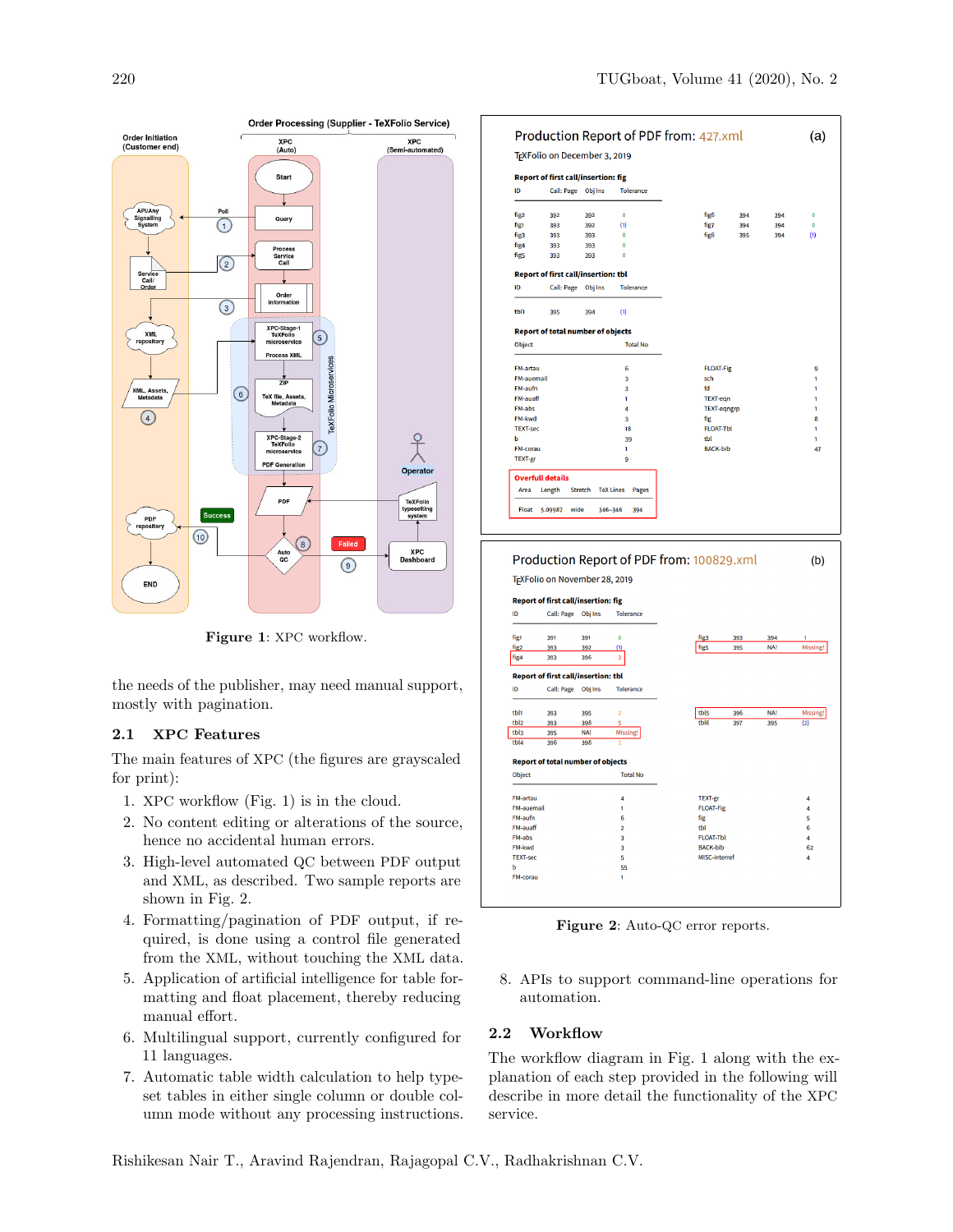

<span id="page-1-0"></span>Figure 1: XPC workflow.

the needs of the publisher, may need manual support, mostly with pagination.

# 2.1 XPC Features

The main features of XPC (the figures are grayscaled for print):

- 1. XPC workflow (Fig. [1\)](#page-1-0) is in the cloud.
- 2. No content editing or alterations of the source, hence no accidental human errors.
- 3. High-level automated QC between PDF output and XML, as described. Two sample reports are shown in Fig. [2.](#page-1-1)
- 4. Formatting/pagination of PDF output, if required, is done using a control file generated from the XML, without touching the XML data.
- 5. Application of artificial intelligence for table formatting and float placement, thereby reducing manual effort.
- 6. Multilingual support, currently configured for 11 languages.
- 7. Automatic table width calculation to help typeset tables in either single column or double column mode without any processing instructions.

|                                  |            | <b>Report of first call/insertion: fig</b> |                  |                                                                                                                                                                                  |                    |     |             |
|----------------------------------|------------|--------------------------------------------|------------------|----------------------------------------------------------------------------------------------------------------------------------------------------------------------------------|--------------------|-----|-------------|
| <b>Call: Page</b>                | Obj Ins    |                                            | <b>Tolerance</b> |                                                                                                                                                                                  |                    |     |             |
| 392                              | 392        | $\Omega$                                   |                  | fig <sub>6</sub>                                                                                                                                                                 | 394                | 394 | $\bf{0}$    |
| 393                              | (1)<br>392 |                                            |                  | fig7                                                                                                                                                                             | 394                | 394 | $\mathbf 0$ |
| 393                              | 393        | $\mathbf 0$                                |                  | fig <sub>8</sub>                                                                                                                                                                 | 395                | 394 | (1)         |
| 393                              | 393        | $\mathbf 0$                                |                  |                                                                                                                                                                                  |                    |     |             |
| 393                              | 393        | $\mathbf 0$                                |                  |                                                                                                                                                                                  |                    |     |             |
|                                  |            |                                            |                  |                                                                                                                                                                                  |                    |     |             |
|                                  |            |                                            |                  |                                                                                                                                                                                  |                    |     |             |
| 395                              | 394        | (1)                                        |                  |                                                                                                                                                                                  |                    |     |             |
|                                  |            |                                            |                  |                                                                                                                                                                                  |                    |     |             |
| <b>Total No</b><br><b>Object</b> |            |                                            |                  |                                                                                                                                                                                  |                    |     |             |
| <b>FM-artau</b>                  |            |                                            |                  |                                                                                                                                                                                  | <b>FLOAT-Fig</b>   |     |             |
| <b>FM-auemail</b>                |            |                                            | 3                |                                                                                                                                                                                  | sch                |     |             |
| FM-aufn                          |            |                                            |                  | fd                                                                                                                                                                               |                    |     |             |
| <b>FM-auaff</b>                  |            |                                            |                  |                                                                                                                                                                                  | <b>TEXT-eqn</b>    |     |             |
| <b>FM-abs</b>                    |            |                                            |                  |                                                                                                                                                                                  | <b>TEXT-eqngrp</b> |     |             |
| FM-kwd                           |            |                                            |                  | fig                                                                                                                                                                              |                    |     |             |
| <b>TEXT-sec</b>                  |            |                                            |                  |                                                                                                                                                                                  | <b>FLOAT-Tbl</b>   |     |             |
| ь<br>39                          |            |                                            |                  | tbl                                                                                                                                                                              |                    |     | ٦           |
| FM-corau                         |            |                                            |                  |                                                                                                                                                                                  | <b>BACK-bib</b>    |     |             |
|                                  |            |                                            |                  |                                                                                                                                                                                  |                    |     |             |
| <b>Overfull details</b>          |            |                                            |                  |                                                                                                                                                                                  |                    |     |             |
| Length                           |            |                                            |                  |                                                                                                                                                                                  |                    |     |             |
|                                  |            | Call: Page Obj Ins<br><b>Stretch</b>       |                  | <b>Report of first call/insertion: tbl</b><br><b>Tolerance</b><br><b>Report of total number of objects</b><br>6<br>3<br>1<br>4<br>3<br>18<br>1<br>9<br><b>TeX Lines</b><br>Pages |                    |     |             |



<span id="page-1-1"></span>Figure 2: Auto-QC error reports.

8. APIs to support command-line operations for automation.

## 2.2 Workflow

The workflow diagram in Fig. [1](#page-1-0) along with the explanation of each step provided in the following will describe in more detail the functionality of the XPC service.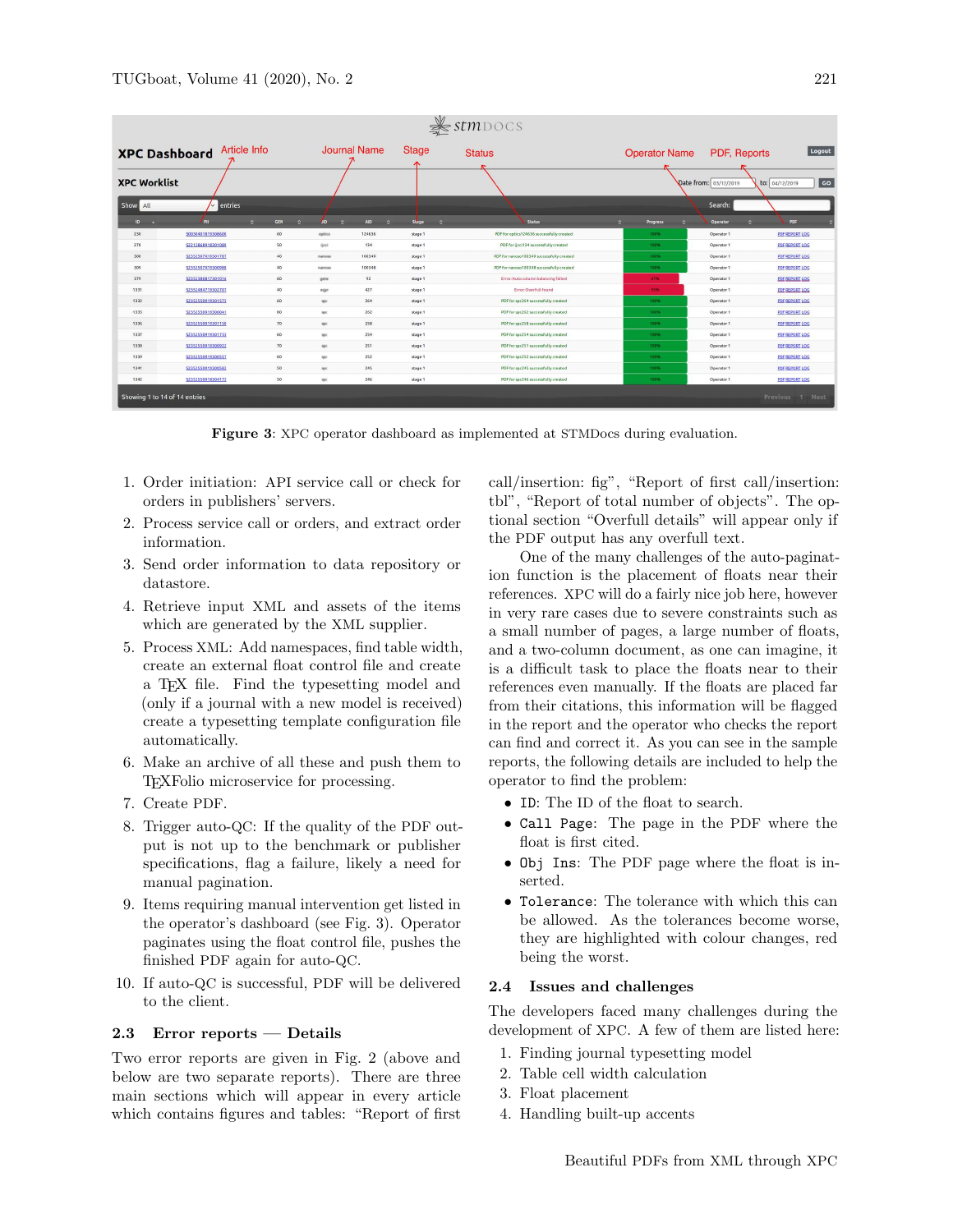| <b>Article Info</b><br><b>XPC Dashboard</b> |                    |                 | <b>Stage</b><br><b>Journal Name</b> |                              |         | <b>Status</b>                             | Logout<br><b>Operator Name</b><br>PDF, Reports |                       |                                            |
|---------------------------------------------|--------------------|-----------------|-------------------------------------|------------------------------|---------|-------------------------------------------|------------------------------------------------|-----------------------|--------------------------------------------|
| <b>XPC Worklist</b>                         |                    |                 |                                     |                              |         |                                           |                                                | Date from: 03/12/2019 | $\overline{\phantom{a}}$<br>to: 04/12/2019 |
| Show All                                    | $\sim$ entries     |                 |                                     |                              |         |                                           |                                                | Search:               |                                            |
| $ID - A$                                    | PII<br>$\circ$     | <b>GEN</b><br>× | <b>AD</b><br>$\bullet$              | <b>AID</b><br>$\ddot{\circ}$ | Stage   | <b>Status</b>                             | $\mathbf{C}$<br><b>Progress</b>                | Operator              | PDF                                        |
| 230                                         | 50030401819308600  | 60              | optics                              | 124636                       | stage 1 | PDF for optics124636 successfully created | 100%                                           | Operator 1            | PDF REPORT LOC                             |
| 278                                         | \$2212868918301089 | 50              | ljezi                               | 134                          | stage 1 | PDF for ijcci134 successfully created     | 100%                                           | Operator 1            | PDF REPORT LOC                             |
| 308                                         | S2352507X19301787  | $40$            | nanoso                              | 100349                       | stage 1 | PDF for nanoso100349 successfully created | 100%                                           | Operator 1            | PDFREPORT LOC                              |
| 309                                         | S2352507X19300988  | 40              | nanoso                              | 100348                       | stage 1 | PDF for nanoso100348 successfully created | 100%                                           | Operator 1            | PDF REPORT LOC                             |
| 379                                         | 52352380817301016  | 60              | gete                                | 92                           | stage 1 | Error: Auto column balancing failed       | 87%                                            | Operator 1            | PDF REPORT LOC                             |
| 1331                                        | \$2352484719302707 | 40              | egyr                                | 427                          | stage 1 | Error: Overfull found                     | 95%                                            | Operator 1            | <b>PDF REPORT LOG</b>                      |
| 1332                                        | 52352550010301575  | 60              | spc                                 | 264                          | stage 1 | PDF for spc264 successfully created       | 100%                                           | Operator 1            | PDFREPORT LOC                              |
| 1335                                        | \$2352550919300041 | 80              | spc                                 | 262                          | stage 1 | PDF for spc262 successfully created       | 100%                                           | Operator 1            | PDF REPORT LOC                             |
| 1336                                        | 52352550010301150  | 70              | spc                                 | 258                          | stage 1 | PDF for spc258 successfully created       | 100%                                           | Operator 1            | PDFREPORT LOC                              |
| 1337                                        | 52352550919301733  | 60              | spc                                 | 254                          | stage 1 | PDF for spc254 successfully created       | 100%                                           | Operator 1            | PDF REPORT LOC                             |
| 1338                                        | 52352550919300922  | 70              | spc.                                | 251                          | stage 1 | PDF for spc251 successfully created       | 100%                                           | Operator 1            | PDF REPORT LOC                             |
| 1339                                        | 52352550919300557  | 60              | spc                                 | 252                          | stage 1 | PDF for spc252 successfully created       | 100%                                           | Operator 1            | PDF REPORT LOC                             |
| 1341                                        | 52352550919300582  | 50              | spc.                                | 245                          | stage 1 | PDF for spc245 successfully created       | 100%                                           | Operator 1            | PDF REPORT LOC                             |
| 1342                                        | 52352550918304172  | 50              | spc                                 | 246                          | stage 1 | PDF for spc246 successfully created       | 100%                                           | Operator 1            | PDF REPORT LOC                             |

<span id="page-2-0"></span>Figure 3: XPC operator dashboard as implemented at STMDocs during evaluation.

- 1. Order initiation: API service call or check for orders in publishers' servers.
- 2. Process service call or orders, and extract order information.
- 3. Send order information to data repository or datastore.
- 4. Retrieve input XML and assets of the items which are generated by the XML supplier.
- 5. Process XML: Add namespaces, find table width, create an external float control file and create a TEX file. Find the typesetting model and (only if a journal with a new model is received) create a typesetting template configuration file automatically.
- 6. Make an archive of all these and push them to TEXFolio microservice for processing.
- 7. Create PDF.
- 8. Trigger auto-QC: If the quality of the PDF output is not up to the benchmark or publisher specifications, flag a failure, likely a need for manual pagination.
- 9. Items requiring manual intervention get listed in the operator's dashboard (see Fig. [3\)](#page-2-0). Operator paginates using the float control file, pushes the finished PDF again for auto-QC.
- 10. If auto-QC is successful, PDF will be delivered to the client.

## 2.3 Error reports — Details

Two error reports are given in Fig. [2](#page-1-1) (above and below are two separate reports). There are three main sections which will appear in every article which contains figures and tables: "Report of first call/insertion: fig", "Report of first call/insertion: tbl", "Report of total number of objects". The optional section "Overfull details" will appear only if the PDF output has any overfull text.

One of the many challenges of the auto-pagination function is the placement of floats near their references. XPC will do a fairly nice job here, however in very rare cases due to severe constraints such as a small number of pages, a large number of floats, and a two-column document, as one can imagine, it is a difficult task to place the floats near to their references even manually. If the floats are placed far from their citations, this information will be flagged in the report and the operator who checks the report can find and correct it. As you can see in the sample reports, the following details are included to help the operator to find the problem:

- ID: The ID of the float to search.
- Call Page: The page in the PDF where the float is first cited.
- Obj Ins: The PDF page where the float is inserted.
- Tolerance: The tolerance with which this can be allowed. As the tolerances become worse, they are highlighted with colour changes, red being the worst.

### 2.4 Issues and challenges

The developers faced many challenges during the development of XPC. A few of them are listed here:

- 1. Finding journal typesetting model
- 2. Table cell width calculation
- 3. Float placement
- 4. Handling built-up accents